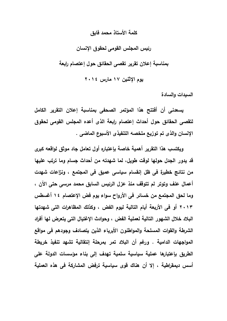## كلمة الأستاذ محمد فابق

رئيس المجلس القومي لحقوق الانسان

بمناسبة إعلان تقرير تقصى الحقائق حول إعتصام رابعة

يوم الإثنين ١٧ مارس ٢٠١٤

السبدات والسادة

يسعدني أن أفتتح هذا المؤتمر الصحفي بمناسبة إعلان التقرير الكامل لتقصى الحقائق حول أحداث إعتصام رابعة الذى أعده المجلس القومى لحقوق الإنسان والذي تم توزيع ملخصه التنفيذي الأسبوع الماضي .

ويكتسب هذا التقرير أهمية خاصة بإعتباره أول تعامل جاد موثق لواقعه كبرى قد يدور الجدل حولها لوقت طويل، لما شهدته من أحداث جسام وما ترتب عليها من نتائج خطيرة في ظل إنفسام سياسي عميق في المجتمع ، ونزاعات شهدت أعمال عنف وتوتر لم تتوقف منذ عزل الرئيس السابق محمد مرسى حتى الآن ، وما لحق المجتمع من خسائر في الأرواح سواء يوم فض الإعتصام ١٤ أغسطس ٢٠١٣ أو في الأربعة أيام التالية ليوم الفض ، وكذلك المظاهرات التي شهدتها البلاد خلال الشهور التالية لعملية الفض ، وحوادث الإغتيال التي يتعرض لها أفراد الشرطة والقوات المسلحة والمواطنون الأبرياء الذين يتصادف وجودهم في مواقع المواجهات الدامية . ورغم أن البلاد تمر بمرحلة إنتقالية تشهد تنفيذ خريطة الطريق بإعتبارها عملية سياسية سلمية تهدف إلى بناء مؤسسات الدولة على أسس ديمقراطية ، إلا أن هناك قوى سياسية ترفض المشاركة في هذه العملية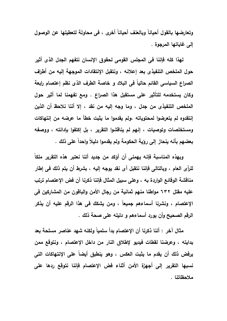وتعارضها بالقول أحياناً وبالعنف أحياناً أخرى ، في محاولة لتعطيلها عن الوصول إلى غاياتها المرجوة .

لهذا كله فإننا في المجلس القومي لحقوق الإنسان نتفهم الجدل الذي أثير حول الملخص التنفيذي بعد إعلانه ، ونتقبل الإنتقادات الموجهة إليه من أطراف الصراع السياسي القائم حالياً في البلاد و خاصة الطرف الذي نظم إعتصام رابعة وكان يستخدمه للتأثير على مستقبل هذا الصراع . ومع تفهمنا لما أثير حول الملخص التنفيذي من جدل ، وما وجه إليه من نقد ، إلا أننا نلاحظ أن الذين إنتقدوه لم يتعرضوا لمحتوياته ،ولم يقدموا ما يثبت خطأ ما عرضه من إنتهاكات ومستخلصات وتوصيات ، إنهم لم يناقشوا التقرير ، بل إكتفوا بإدانته ، ووصفه بعضهم بأنه ينحاز إلى رؤية الحكومة ولم يقدموا دليلاً واحداً على ذلك .

ويهذه المناسبة فإنه يهمني أن أؤكد من جديد أننا نعتبر هذه التقرير ملكاً للرأى العام ، وبالتالي فإننا نتقبل أي نقد يوجه إليه ، بشرط أن يتم ذلك في إطار مناقشة الوقائع الواردة به ، وعلى سبيل المثال فإننا ذكرنا أن فض الإعتصام ترتب عليه مقتل ٦٣٢ مواطنا منهم ثمانية من رجال الأمن والباقون من المشاركين في الإعتصام ، ونشرنا أسماءهم جميعاً ، ومن يشكك في هذا الرقم عليه أن يذكر الرقم الصحيح وأن يورد أسماءهم و دليله على صحة ذلك .

مثال آخر : أننا ذكرنا أن الإعتصام بدأ سلمياً ولكنه شهد عناصر مسلحة بعد بدايته ، وعرضنا لفطات فيديو لإطلاق النار من داخل الإعتصام ، ونتوقع ممن يرفض ذلك أن يقدم ما يثبت العكس ، وهو ينطبق أيضاً على الإنتهاكات التي نسبها التقرير إلى أجهزة الأمن أثناء فض الإعتصام فإننا نتوقع ردها على ملاحظاتنا .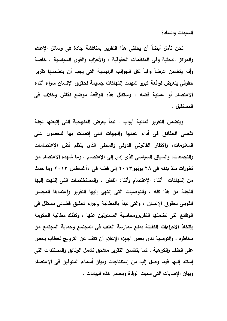السبدات والسادة

نحن نأمل أيضاً أن يحظى هذا التقرير بمناقشة جادة في وسائل الإعلام والمراكز البحثية وفي المنظمات الحقوقية ، والأحزاب والقوى السياسية ، خاصة وأنه يتضمن عرضاً وافياً لكل الجوانب الرئيسية التى يجب أن يتضمنها تقرير حقوقى يتعرض لواقعة كبرى شهدت إنتهاكات جسيمة لحقوق الإنسان سواء أثناء الإعتصام أو عملية فضه ، وستظل هذه الواقعة موضع نقاش وخلاف في المستقبل .

ويتضمن التقرير ثمانية أبواب ، تبدأ بعرض المنهجية التي إتبعتها لجنة تقصى الحقائق فى أداء عملها والجهات التى إتصلت بها للحصول على المعلومات، والإطار القانوني الدولي والمحلي الذي ينظم فض الإعتصامات والتجمعات، والسياق السياسي الذي إدى إلى الإعتصام ، وما شهده الإعتصام من تطورات منذ بدئه في ٢٨ يونيو ٢٠١٣ إلى فضه في ٤أغسطس ٢٠١٣ وما حدث من إنتهاكات أثناء الإعتصام وأثناء الفض ، والمستخلصات التى إنتهت إليها اللجنة من هذا كله ، والتوصيات التي إنتهى إليها التقرير واعتمدها المجلس القومي لحقوق الإنسان ، والتي تبدأ بالمطالبة بإجراء تحقيق قضائي مستقل في الوقائع التي تضمنها التقريرومحاسبة المسئولين عنها ، وكذلك مطالبة الحكومة بإتخاذ الإجراءات الكفيلة بمنع ممارسة العنف في المجتمع وحماية المجتمع من مخاطره ، والتوصية لدى بعض أجهزة الإعلام أن تكف عن الترويج لخطاب يحض على العنف والكراهية . كما يتضمن التقرير ملاحق تشمل الوثائق والمستندات التي إستند إليها فيما وصل إليه من إستنتاجات وييان أسماء المتوفين في الإعتصام وييان الإصابات التي سببت الوفاة ومصدر هذه البيانات .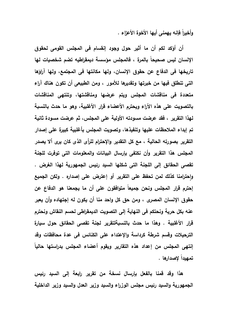وأخيراً فإنه يهمني أيها الأخوة الأعزاء .

أن أؤكد لكم أن ما أثير حول وجود إنفسام في المجلس القومي لحقوق الإنسان ليس صحيحاً بالمرة ، فالمجلس مؤسسة ديمقراطيه تضم شخصيات لها تاريخها في الدفاع عن حقوق الإنسان، ولها مكانتها في المجتمع، ولها آراؤها التي تنطلق فيها من خبرتها وتقديرها للأمور ، ومن الطبيعي أن تكون هناك آراء متعددة فى مناقشات المجلس ويتم عرضها ومناقشتها، وتنتهى المناقشات بالتصويت على هذه الآراء ويحترم الأعضاء قرار الأغلبية، وهو ما حدث بالنسبة لهذا التقرير ، فقد عرضت مسودته الأولية على المجلس، ثم عرضت مسودة ثانية تم إبداء الملاحظات عليها وتنفيذها، وتصويت المجلس بأغلبية كبيرة على إصدار التقرير بصورته الحالية ، مع كل التقدير والإحترام للرأى الذى كان يرى ألا يصدر المجلس هذا التقرير وأن نكتف*ى* بإرسال البيانات والمعلومات الت*ى* توفرت للجنة تقصى الحقائق إلى اللجنة التي شكلها السيد رئيس الجمهورية لهذا الغرض . واحترامنا كذلك لمن تحفظ على التقرير أو إعترض على إصداره . ولكن الجميع إحترم قرار المجلس ونحن جميعاً متوافقون على أن ما يجمعنا هو الدفاع عن حقوق الإنسان المصرى ، ومن حق كل واحد منا أن يكون له إجتهاده وأن يعبر عنه بكل حرية ونحتكم في النهاية إلى التصويت الديمقراطي لحسم النقاش ونحترم قرار الأغلبية . وهذا ما حدث بالنسبةلتقرير لجنة تقصى الحقائق حول سيارة الترحيلات وقسم شرطة كرداسة والإعتداء على الكنائس في عدة محافظات وقد إنتهى المجلس من إعداد هذه التقارير ويقوم أعضاء المجلس بدراستها حالياً تمهيداً لإصدارها .

هذا وقد قمنا بالفعل بإرسال نسخة من تقرير رابعة إلى السيد رئيس الجمهورية والسيد رئيس مجلس الوزراء والسيد وزير العدل والسيد وزير الداخلية